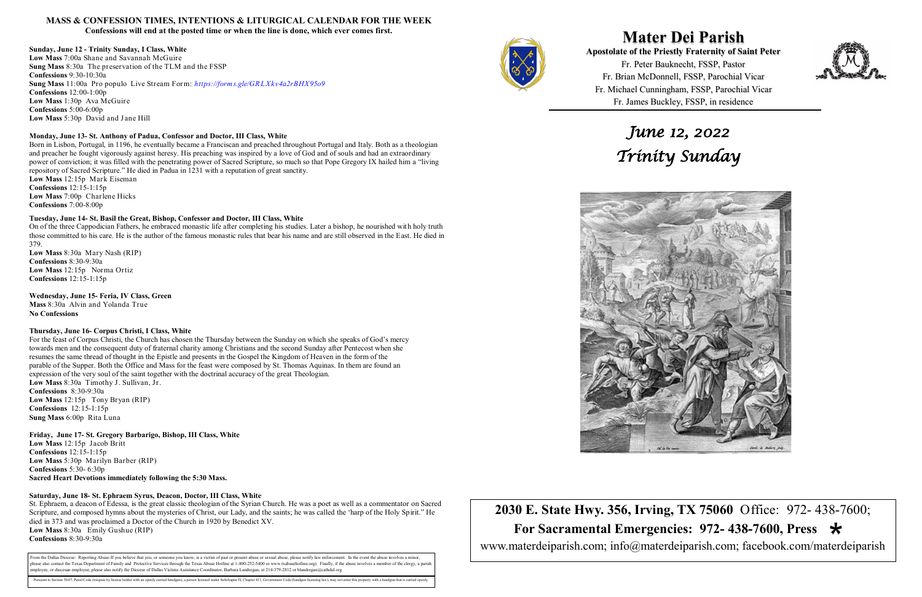**Mater Dei Parish Apostolate of the Priestly Fraternity of Saint Peter**  Fr. Peter Bauknecht, FSSP, Pastor Fr. Brian McDonnell, FSSP, Parochial Vicar Fr. Michael Cunningham, FSSP, Parochial Vicar Fr. James Buckley, FSSP, in residence

# **2030 E. State Hwy. 356, Irving, TX 75060** Office: 972- 438-7600;  **For Sacramental Emergencies: 972- 438-7600, Press**  www.materdeiparish.com; info@materdeiparish.com; facebook.com/materdeiparish



#### **MASS & CONFESSION TIMES, INTENTIONS & LITURGICAL CALENDAR FOR THE WEEK**

**Confessions will end at the posted time or when the line is done, which ever comes first.**

#### **Sunday, June 12 - Trinity Sunday, I Class, White**

**Low Mass** 7:00a Shane and Savannah McGuire **Sung Mass** 8:30a The preservation of the TLM and the FSSP **Confessions** 9:30-10:30a **Sung Mass** 11:00a Pro populo Live Stream Form: *https://forms.gle/GR LXkv4a2rBHX95o9* **Confessions** 12:00-1:00p **Low Mass** 1:30p Ava McGuire **Confessions** 5:00-6:00p **Low Mass** 5:30p David and Jane Hill

#### **Monday, June 13- St. Anthony of Padua, Confessor and Doctor, III Class, White**

Born in Lisbon, Portugal, in 1196, he eventually became a Franciscan and preached throughout Portugal and Italy. Both as a theologian and preacher he fought vigorously against heresy. His preaching was inspired by a love of God and of souls and had an extraordinary power of conviction; it was filled with the penetrating power of Sacred Scripture, so much so that Pope Gregory IX hailed him a "living repository of Sacred Scripture." He died in Padua in 1231 with a reputation of great sanctity.

**Low Mass** 12:15p Mark Eiseman **Confessions** 12:15-1:15p **Low Mass** 7:00p Charlene Hicks **Confessions** 7:00-8:00p

#### **Tuesday, June 14- St. Basil the Great, Bishop, Confessor and Doctor, III Class, White**

On of the three Cappodician Fathers, he embraced monastic life after completing his studies. Later a bishop, he nourished with holy truth those committed to his care. He is the author of the famous monastic rules that bear his name and are still observed in the East. He died in 379.

**Low Mass** 8:30a Mary Nash (RIP) **Confessions** 8:30-9:30a **Low Mass** 12:15p Norma Ortiz **Confessions** 12:15-1:15p

**Wednesday, June 15- Feria, IV Class, Green** 

**Mass** 8:30a Alvin and Yolanda True **No Confessions** 

#### **Thursday, June 16- Corpus Christi, I Class, White**

For the feast of Corpus Christi, the Church has chosen the Thursday between the Sunday on which she speaks of God's mercy towards men and the consequent duty of fraternal charity among Christians and the second Sunday after Pentecost when she resumes the same thread of thought in the Epistle and presents in the Gospel the Kingdom of Heaven in the form of the parable of the Supper. Both the Office and Mass for the feast were composed by St. Thomas Aquinas. In them are found an expression of the very soul of the saint together with the doctrinal accuracy of the great Theologian. **Low Mass** 8:30a Timothy J. Sullivan, Jr.

**Confessions** 8:30-9:30a **Low Mass** 12:15p Tony Bryan (RIP) **Confessions** 12:15-1:15p **Sung Mass** 6:00p Rita Luna

**Friday, June 17- St. Gregory Barbarigo, Bishop, III Class, White Low Mass** 12:15p Jacob Britt **Confessions** 12:15-1:15p **Low Mass** 5:30p Marilyn Barber (RIP) **Confessions** 5:30- 6:30p **Sacred Heart Devotions immediately following the 5:30 Mass.**

#### **Saturday, June 18- St. Ephraem Syrus, Deacon, Doctor, III Class, White**

St. Ephraem, a deacon of Edessa, is the great classic theologian of the Syrian Church. He was a poet as well as a commentator on Sacred Scripture, and composed hymns about the mysteries of Christ, our Lady, and the saints; he was called the 'harp of the Holy Spirit." He died in 373 and was proclaimed a Doctor of the Church in 1920 by Benedict XV. **Low Mass** 8:30a Emily Gushue (RIP) **Confessions** 8:30-9:30a

From the Dallas Diocese: Reporting Abuse-If you believe that you, or someone you know, is a victim of past or present abuse or sexual abuse, please notify law enforcement. In the event the abuse involves a minor, please also contact the Texas Department of Family and Protective Services through the Texas Abuse Hotline at 1-800-252-5400 or www.txabusehotline.org). Finally, if the abuse involves a member of the clergy, a paris employee, or diocesan employee, please also notify the Diocese of Dallas Victims Assistance Coordinator, Barbara Landregan, at 214-379-2812 or blandregan@cathdal.org

Pursuant to Section 30.07, Penal Code (trespass by license holder with an openly carried handgun), a person licensed under Subchapter H, Chapter 411, Government Code (handgun licensing law), may not enter this property wit



*June 12, 2022* 



# *Trinity Sunday*